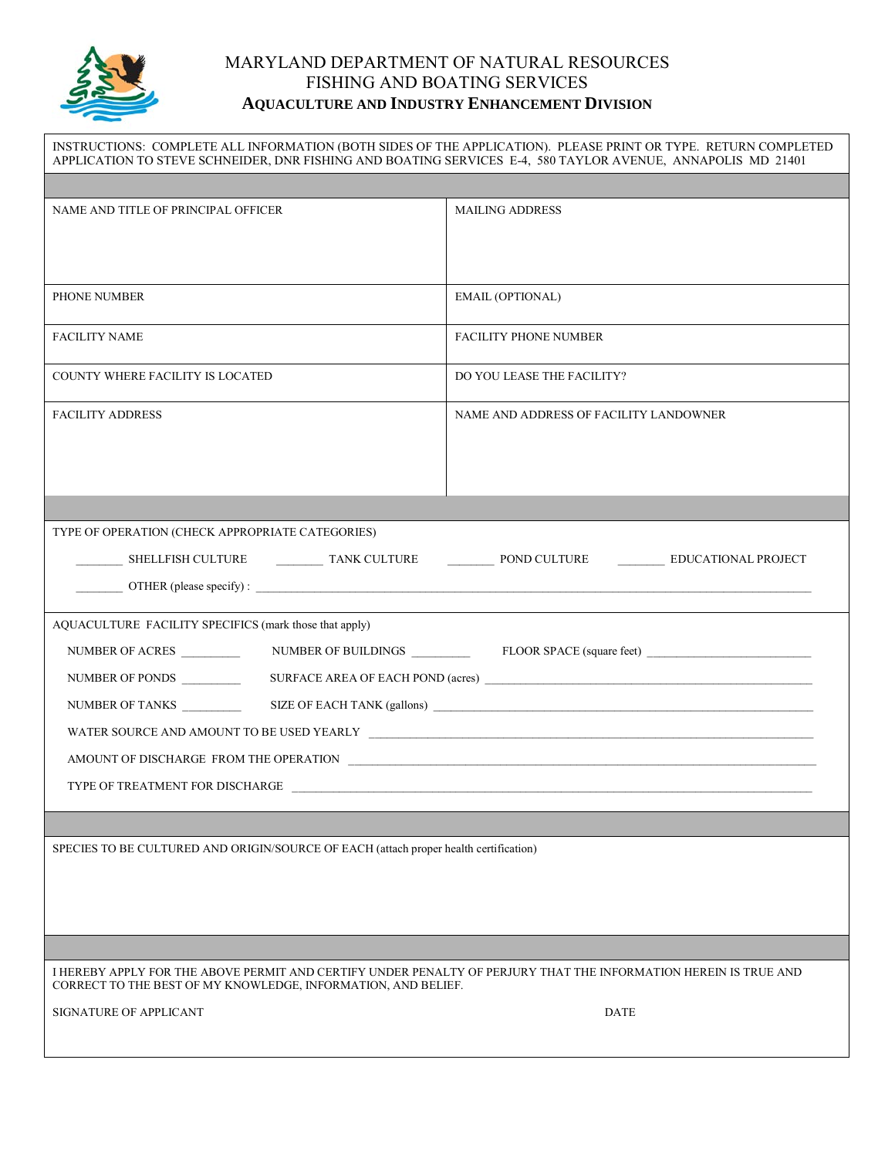

## MARYLAND DEPARTMENT OF NATURAL RESOURCES FISHING AND BOATING SERVICES **AQUACULTURE AND INDUSTRY ENHANCEMENT DIVISION**

INSTRUCTIONS: COMPLETE ALL INFORMATION (BOTH SIDES OF THE APPLICATION). PLEASE PRINT OR TYPE. RETURN COMPLETED APPLICATION TO STEVE SCHNEIDER, DNR FISHING AND BOATING SERVICES E-4, 580 TAYLOR AVENUE, ANNAPOLIS MD 21401 NAME AND TITLE OF PRINCIPAL OFFICER MAILING ADDRESS PHONE NUMBER EMAIL (OPTIONAL) FACILITY NAME FACILITY PHONE NUMBER COUNTY WHERE FACILITY IS LOCATED DO YOU LEASE THE FACILITY? FACILITY ADDRESS STATES IN A ME AND ADDRESS OF FACILITY LANDOWNER TYPE OF OPERATION (CHECK APPROPRIATE CATEGORIES) \_\_\_\_\_\_\_\_ SHELLFISH CULTURE \_\_\_\_\_\_\_\_ TANK CULTURE \_\_\_\_\_\_\_\_ POND CULTURE \_\_\_\_\_\_\_\_ EDUCATIONAL PROJECT  $\Box$  OTHER (please specify) : AQUACULTURE FACILITY SPECIFICS (mark those that apply) NUMBER OF ACRES \_\_\_\_\_\_\_\_\_\_ NUMBER OF BUILDINGS \_\_\_\_\_\_\_\_\_\_ FLOOR SPACE (square feet) \_\_\_\_\_\_\_\_\_\_\_\_\_\_\_\_\_\_\_\_\_\_\_\_\_\_\_\_ NUMBER OF PONDS \_\_\_\_\_\_\_\_\_\_ SURFACE AREA OF EACH POND (acres) \_\_\_\_\_\_\_\_\_\_\_\_\_\_\_\_\_\_\_\_\_\_\_\_\_\_\_\_\_\_\_\_\_\_\_\_\_\_\_\_\_\_\_\_\_\_\_\_\_\_\_\_\_\_\_\_ NUMBER OF TANKS \_\_\_\_\_\_\_\_\_\_ SIZE OF EACH TANK (gallons) \_\_\_\_\_\_\_\_\_\_\_\_\_\_\_\_\_\_\_\_\_\_\_\_\_\_\_\_\_\_\_\_\_\_\_\_\_\_\_\_\_\_\_\_\_\_\_\_\_\_\_\_\_\_\_\_\_\_\_\_\_\_\_\_\_ WATER SOURCE AND AMOUNT TO BE USED YEARLY  $\quad$ AMOUNT OF DISCHARGE FROM THE OPERATION TYPE OF TREATMENT FOR DISCHARGE SPECIES TO BE CULTURED AND ORIGIN/SOURCE OF EACH (attach proper health certification) I HEREBY APPLY FOR THE ABOVE PERMIT AND CERTIFY UNDER PENALTY OF PERJURY THAT THE INFORMATION HEREIN IS TRUE AND CORRECT TO THE BEST OF MY KNOWLEDGE, INFORMATION, AND BELIEF. SIGNATURE OF APPLICANT DATE